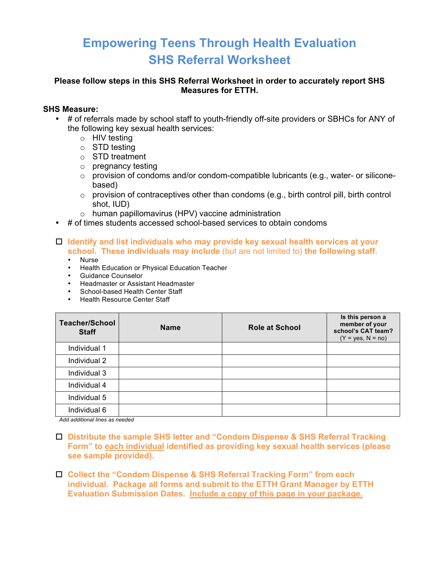# **Empowering Teens Through Health Evaluation SHS Referral Worksheet**

### **Please follow steps in this SHS Referral Worksheet in order to accurately report SHS Measures for ETTH.**

### **SHS Measure:**

- # of referrals made by school staff to youth-friendly off-site providers or SBHCs for ANY of the following key sexual health services:
	- o HIV testing
	- o STD testing
	- o STD treatment
	- o pregnancy testing
	- o provision of condoms and/or condom-compatible lubricants (e.g., water- or siliconebased)
	- $\circ$  provision of contraceptives other than condoms (e.g., birth control pill, birth control shot, IUD)
	- o human papillomavirus (HPV) vaccine administration
- # of times students accessed school-based services to obtain condoms

## □ Identify and list individuals who may provide key sexual health services at your **school. These individuals may include** (but are not limited to) **the following staff.**

- Nurse
- Health Education or Physical Education Teacher
- Guidance Counselor
- Headmaster or Assistant Headmaster
- School-based Health Center Staff
- Health Resource Center Staff

| <b>Teacher/School</b><br><b>Staff</b> | <b>Name</b> | <b>Role at School</b> | Is this person a<br>member of your<br>school's CAT team?<br>$(Y = yes, N = no)$ |
|---------------------------------------|-------------|-----------------------|---------------------------------------------------------------------------------|
| Individual 1                          |             |                       |                                                                                 |
| Individual 2                          |             |                       |                                                                                 |
| Individual 3                          |             |                       |                                                                                 |
| Individual 4                          |             |                       |                                                                                 |
| Individual 5                          |             |                       |                                                                                 |
| Individual 6                          |             |                       |                                                                                 |

*Add additional lines as needed*

- ! **Distribute the sample SHS letter and "Condom Dispense & SHS Referral Tracking Form" to each individual identified as providing key sexual health services (please see sample provided).**
- □ Collect the "Condom Dispense & SHS Referral Tracking Form" from each **individual. Package all forms and submit to the ETTH Grant Manager by ETTH Evaluation Submission Dates. Include a copy of this page in your package.**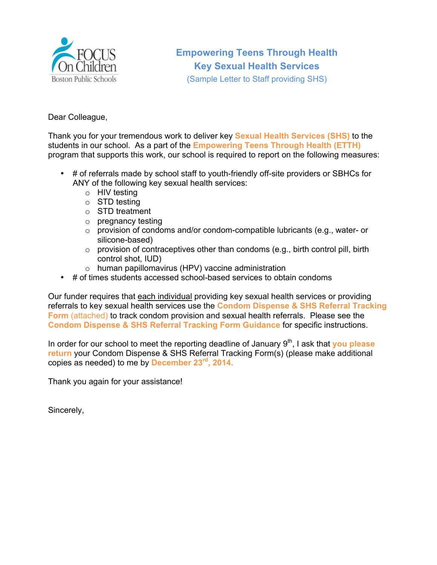

(Sample Letter to Staff providing SHS)

### Dear Colleague,

Thank you for your tremendous work to deliver key **Sexual Health Services (SHS)** to the students in our school. As a part of the **Empowering Teens Through Health (ETTH)** program that supports this work, our school is required to report on the following measures:

- # of referrals made by school staff to youth-friendly off-site providers or SBHCs for ANY of the following key sexual health services:
	- o HIV testing
	- o STD testing
	- o STD treatment
	- o pregnancy testing
	- $\circ$  provision of condoms and/or condom-compatible lubricants (e.g., water- or silicone-based)
	- $\circ$  provision of contraceptives other than condoms (e.g., birth control pill, birth control shot, IUD)
	- o human papillomavirus (HPV) vaccine administration
- # of times students accessed school-based services to obtain condoms

Our funder requires that each individual providing key sexual health services or providing referrals to key sexual health services use the **Condom Dispense & SHS Referral Tracking Form** (attached) to track condom provision and sexual health referrals. Please see the **Condom Dispense & SHS Referral Tracking Form Guidance** for specific instructions.

In order for our school to meet the reporting deadline of January 9<sup>th</sup>, I ask that **you please return** your Condom Dispense & SHS Referral Tracking Form(s) (please make additional copies as needed) to me by **December 23rd, 2014.**

Thank you again for your assistance!

Sincerely,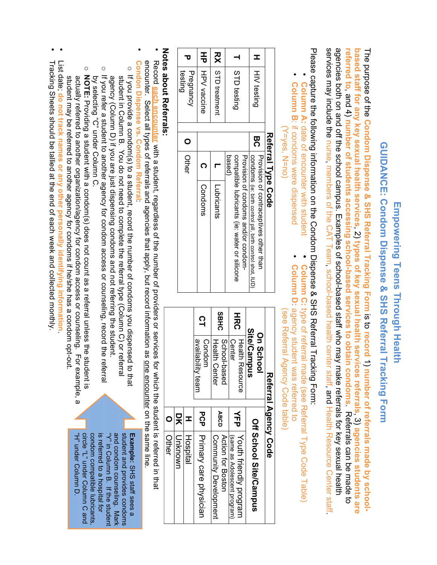# GUIDANCE: Condom Dispense & SHS Referral Tracking Form **GUIDANCE: Condom Dispense & SHS Referral Tracking Form** Empowering Teens Through Health **Empowering Teens Through Health**

services may include the nurse, members of the CAT Team, school-based health center staff, and Health Resource Center staff agencies both on and off the school campus. Examples of school-based staff who may make referrals for key sexual health referred to, and 4) number of students accessing school-based services to obtain condoms. Referrals can be made to services may include the nurse, members of the CAT Team, school-based health center staff, and Health Resource Center staff. agencies both on and off the school campus. Examples of school-based staff who may make referrals for key sexual health The purpose of the **referred tobased staff for any key sexual health servicesCondom Dispense & SHS Referral Tracking Formnumber of students accessing school-based services to obtain condoms**.<br>ب **types of key sexual health services referrals**ິສ<br>ປີ<br>ວັ **record**  $\Rightarrow$ **number of referrals made by school-**. Referrals can be made to .<br>ب **agencies students are** 

Please capture the following information on the Condom Dispense & SHS Referral Tracking Form: Please capture the following information on the Condom Dispense & SHS Referral Tracking Form:

•

•

**Column C:** 

type of referral made (see Referral Type Code Table)

Column C: type of referral made (see Referral Type Code Table)

Column A: date of encounter with student **Column A:** date of encounter with student

•

•

- Column B: if condoms were dispensed **Column B**: if condoms were dispensed
- $(Y = Yes, N = no)$ (Y=yes, N=no)

|   |                         |        | Referral Type Code |                                                            |
|---|-------------------------|--------|--------------------|------------------------------------------------------------|
| I |                         | က<br>ဂ |                    | Provision of contraceptives offer than                     |
|   | HIV testing             |        |                    | CONDONNS (ie: bitth control pill, bitth control shot, IUD) |
|   |                         |        |                    | Provision of condoms and/or condom-                        |
|   | STD testing             |        |                    | compatible lubricants (ie: water or silicone               |
|   |                         |        | based              |                                                            |
|   | <b>RX</b> STD treatment |        |                    | Lubricants                                                 |
|   | HP   HPV vaccine        |        |                    | Condoms                                                    |
|   | testing<br>Pregnancy    |        |                    |                                                            |

| On School<br>ソホッシー・                      | Ξ |
|------------------------------------------|---|
| Referral Agency Code                     |   |
| see Reterral Agency Code table           |   |
| solumn D: agency student was referred to |   |

|             | Referral Agency Code |             |                               |
|-------------|----------------------|-------------|-------------------------------|
|             | <b>On School</b>     |             |                               |
|             | Site/Campus          |             | <b>Off School Site/Campus</b> |
| エヌロ         | Health Resorrice     | 슾           | Youth friendly program        |
|             | Center               |             | (same as Adolescent program)  |
| <b>SBHC</b> | School-based         | <b>ABCD</b> | Action for Boston             |
|             | Health Center        |             | Community Development         |
| $\Omega$    | Condom               | ひっせ         |                               |
|             | availability team    |             | Primary care physician        |
|             |                      | т           | Hospital                      |
|             |                      | 믓           | Uwouxing                      |
|             |                      | $\circ$     | Other                         |
|             |                      |             |                               |

# **Notes about Referrals: es about Referrals:**

- Record each encounter with a student, regardless of the number of providers or services for which the student is referred in that encounter. Select all types of referrals and agencies that apply, but record information as <u>one encounter</u> on the same line encounter. Select all types of referrals and agencies that apply, but record information as one encounter on the same line. **each encounter** with a student, regardless of the number of providers or services for which the student is referred in that
- **Condon Dispense vs. Condom Referral**Condon Dispense vs. Condom Referral
- o If you provide a condom(s) to a student, record the number of condoms you dispensed to tha If you refer a student to another agency for condom access or counseling, record the referral If you provide a condom(s) to a student, record the number of condoms you dispensed to that agency (Column D) if you are just dispensing condoms and not referring the student. student in Column B. You do not need to complete the referral type (Column C) or referral agency (Column D) if you are just dispensing condoms and not referring the student. student in Column B. You do not need to complete the referral type  $\overline{C}$  Column  $\overline{C}$ ) or referral type  $\overline{C}$
- o oIf you refer a student to another agency for condom access or counseling, record the referral NOTE: Providing a student with a condom(s) does not count as a referral unless the student is by selecting "C" under Column C. by selecting "C" under Column C. Providing a student with a condom(s) does not count as a referral unless the student is
- student may be referred to another agency for condoms if he/she has a condom opt-out actually referred to another organization/agency for condom access or counseling. For example, a student may be referred to another agency for condoms if he/she has a condo actually referred to another organization/agency for condom access or counseling. For example, a
- List date; **do not track names or any other personally identifying information**List date; do not track names or any other personally identifying information
- Tracking Sheets should be tallied at the end of each week and collected monthly Tracking Sheets should be tallied at the end of each week and collected monthly.

circle "L" under Column C and condom compatible lubricants is referred to a hospital for "Y" in Column B. If the student and condom counseling. Mark student and provides condoms **Example: SHS staff sees a** "H" under Column D. "H" under Column D. circle "L" under Colum condom compatible lubricants, is referred "Y" in Column B. If the student and condom counseling. student and provides condoms SHS staff sees a to a hospital for n C and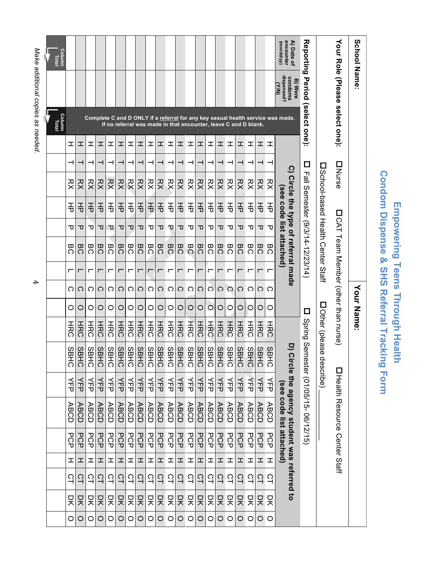| <b>?Ondom Dispense &amp; SHS Referral Trac</b> |             |
|------------------------------------------------|-------------|
|                                                | I           |
|                                                | <b>Gnol</b> |
| ׇ֧֖֧֦֧֦֧֝֝֝֝֝<br>֧֪֝<br>֧֝֝֝֝ <i>֚</i>         | (<br>C      |
| $\frac{1}{\epsilon}$                           |             |

| School Name:                          |                                                                     |                                                                                 |   |                         |        |          |    |                                                    |   |          | Your Name: |                                      |                         |          |                                                                          |        |   |          |   |         |
|---------------------------------------|---------------------------------------------------------------------|---------------------------------------------------------------------------------|---|-------------------------|--------|----------|----|----------------------------------------------------|---|----------|------------|--------------------------------------|-------------------------|----------|--------------------------------------------------------------------------|--------|---|----------|---|---------|
| Your Role (Please select one):        |                                                                     |                                                                                 |   | <b>DNurse</b>           |        |          |    |                                                    |   |          |            | □ CAT Team Menhor (other than nurse) |                         |          | 囗 Health Resource Center Staff                                           |        |   |          |   |         |
|                                       |                                                                     |                                                                                 |   |                         |        |          |    | □ School-based Health Center Staff                 |   |          |            | Dother (please                       |                         | describe |                                                                          |        |   |          |   |         |
| <b>Reporting</b>                      | Period                                                              | (select one):                                                                   |   | □<br>凹                  |        |          |    | Semester (9/3/14-12/23/14)                         |   |          | $\Box$     | Spring Serr                          |                         |          | iester (01/05/15-06/12/15)                                               |        |   |          |   |         |
| encounter<br>A) Date of<br>(AA/pp/ww) | dispensed?<br>condoms<br><b>B) Were</b><br>$\widetilde{\mathbf{z}}$ | Complete C and D ONLY if a referral for any key sexual health service was made. |   | $\overline{\mathbf{C}}$ |        | see code |    | Circle the type of referral made<br>list attached) |   |          |            |                                      |                         |          | D) Circle the agency student was referred to<br>(see code list attached) |        |   |          |   |         |
|                                       |                                                                     |                                                                                 | 工 | ᅥ                       | RX     | 玉        | ᠊ᠣ | BC                                                 | г | ౧        | O          | エヌロ                                  | SB<br>공                 | 듀        | <b>ABCD</b>                                                              | PCP    | H | 잌        | 믓 | $\circ$ |
|                                       |                                                                     |                                                                                 | ェ |                         | RX     | 玉        | ᠊ᠣ | BC                                                 | г | O.       | O          | エカロ                                  | 88<br>공                 | 人口       | <b>ABCD</b>                                                              | PCP    | ᆂ | $\Xi$    | 믓 | $\circ$ |
|                                       |                                                                     | If no referral was made in that encounter, leave C and D blank.                 | 工 |                         | RX     | 종        | ᠊ᠣ | 50                                                 | г | ဂ        | $\circ$    | エカロ                                  | SB<br>공                 | 슧        | <b>ABCD</b>                                                              | PCP    | I | ္မ       | 믓 | $\circ$ |
|                                       |                                                                     |                                                                                 | ェ |                         | 又<br>父 | 玉        | ᠊ᠣ | BC                                                 |   | റ        | O          | エヌロ                                  | SB<br>공                 | 人口       | <b>ABCD</b>                                                              | PCP    | 工 | د<br>ح   | 믓 | O       |
|                                       |                                                                     |                                                                                 | ェ |                         | 껒      | 玉        | ᠊ᠣ | BC                                                 | г | $\circ$  | O          | エカロ                                  | SB<br>공                 | 즋        | <b>ABCD</b>                                                              | PCP    | I | 으        | 只 | O       |
|                                       |                                                                     |                                                                                 | ェ |                         | RX     | 玉        | ᠊ᠣ | <b>BC</b>                                          | г | ဂ        | $\circ$    | エカロ                                  | SB<br>ここ                | 슈        | <b>ABCD</b>                                                              | PCP    | 工 | 으<br>나   | 믓 | O       |
|                                       |                                                                     |                                                                                 | ェ |                         | RX     | 玉        | ᠊ᠣ | BC                                                 | г | C        | $\circ$    | エヌロ                                  | $\frac{8}{5}$<br>さい     | 듀        | <b>ABCD</b>                                                              | PCP    | I | 잌        | 믓 | $\circ$ |
|                                       |                                                                     |                                                                                 | ェ |                         | RX     | 玉        | ᠊ᠣ | <b>BC</b>                                          |   | റ        | O          | エカロ                                  | 89<br>さい                | くせ       | <b>ABCD</b>                                                              | PCP    | H | د<br>ح   | 믓 | O       |
|                                       |                                                                     |                                                                                 | ェ |                         | RX     | 玉        | ᠊ᠣ | BC                                                 | г | ဂ        | $\circ$    | HRC                                  | SB<br>Ĕ                 | 귻        | <b>ABCD</b>                                                              | РCР    | I | 으        | 믓 | O       |
|                                       |                                                                     |                                                                                 | ェ |                         | RX     | 玉        | ᠊ᠣ | <b>BC</b>                                          | г | $\Omega$ | $\circ$    | HRC                                  | <b>SB</b><br>공          | 귻        | <b>ABCD</b>                                                              | PCP    | 工 | $\Omega$ | 只 | O       |
|                                       |                                                                     |                                                                                 | ェ |                         | RX     | 종        | ᠊ᠸ | BC                                                 | г | റ        | O          | HRC                                  | SB<br>さい                | 귻        | <b>ABCD</b>                                                              | PCP    | I | د<br>1   | 믓 | O       |
|                                       |                                                                     |                                                                                 | ェ |                         | RX     | 玉        | ᠊ᠸ | <b>BC</b>                                          | г | O        | $\circ$    | エカロ                                  | SB<br>Ë                 | 了古       | <b>ABCD</b>                                                              | PCP    | 工 | ST       | 믓 | O       |
|                                       |                                                                     |                                                                                 | ェ |                         | RX     | 玉        | ᠊ᠸ | BC                                                 | г | ဂ        | $\circ$    | エヌロ                                  | $\frac{8}{5}$<br>さい     | 듀        | <b>ABCD</b>                                                              | PCP    | ᆂ | ္မ       | 믓 | O       |
|                                       |                                                                     |                                                                                 | ェ |                         | RX     | 玉        | ᠊ᠸ | <b>BC</b>                                          | г | ဂ        | $\circ$    | エカロ                                  | 8B<br>공                 | くし       | <b>ABCD</b>                                                              | PCP    | ェ | د<br>1   | 只 | O       |
|                                       |                                                                     |                                                                                 | ェ |                         | RX     | 玉        | ᠊ᠣ | BC                                                 | г | O        | O          | HRC                                  | $\frac{8}{9}$<br>Ĩ<br>Ö | 듀        | <b>ABCD</b>                                                              | 모<br>오 | ェ | 으        | 只 | O       |
|                                       |                                                                     |                                                                                 | ェ |                         | RX     | 玉        | ᠊ᠣ | ω<br>$\tilde{\Omega}$                              | г | ◯        | $\circ$    | HRC                                  | SB<br>さい                | 슈        | <b>ABCD</b>                                                              | PCP    | 工 | CT       | 믓 | $\circ$ |
|                                       |                                                                     |                                                                                 | ェ |                         | RX     | 종        | ᠊ᠣ | BC                                                 |   | റ        | O          | エカロ                                  | SB<br>공                 | 귻        | <b>ABCD</b>                                                              | PCP    | H | 익        | 믓 | O       |
|                                       |                                                                     |                                                                                 | ェ |                         | RX     | 玉        | ᠊ᠣ | <b>BC</b>                                          |   | O        | O          | エカロ                                  | SB<br>Ë                 | くせ       | <b>ABCD</b>                                                              | PCP    | I | 잌        | 믓 | O       |
|                                       |                                                                     |                                                                                 | ェ |                         | 잦      | 玉        | ᠊ᠸ | BC                                                 | г | ဂ        | O          | HRC                                  | SB<br>Ë                 | 说        | <b>ABCD</b>                                                              | РCР    | 工 | 으        | 믓 | O       |
|                                       |                                                                     |                                                                                 | ェ |                         | RX     | 玉        | ᠊ᠸ | <b>BC</b>                                          | г | ౧        | $\circ$    | エヌロ                                  | SB<br>공                 | 人口       | <b>ABCD</b>                                                              | PCP    | I | ္မ       | 믓 | $\circ$ |
|                                       |                                                                     |                                                                                 | ェ |                         | RX     | 玉        | ᠊ᠣ | ᢍ<br>Ğ                                             | г | ⌒        | $\circ$    | エヌロ                                  | SB<br>공                 | 듀        | <b>ABCD</b>                                                              | PCP    | 工 | $\Omega$ | 믓 | $\circ$ |
| <b>Column</b><br>Total                |                                                                     | Column<br>Total                                                                 |   |                         |        |          |    |                                                    |   |          |            |                                      |                         |          |                                                                          |        |   |          |   |         |
| Ш                                     |                                                                     |                                                                                 |   |                         |        |          |    |                                                    |   |          |            |                                      |                         |          |                                                                          |        |   |          |   |         |

Make additional copies as needed. *Make additional copies as needed.*

"